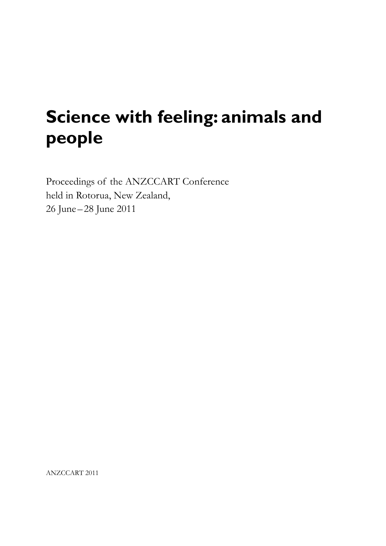# **Science with feeling: animals and people**

Proceedings of the ANZCCART Conference held in Rotorua, New Zealand, 26 June–28 June 2011

ANZCCART 2011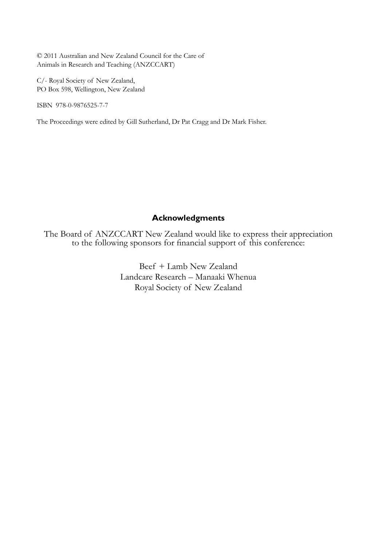© 2011 Australian and New Zealand Council for the Care of Animals in Research and Teaching (ANZCCART)

C/- Royal Society of New Zealand, PO Box 598, Wellington, New Zealand

ISBN 978-0-9876525-7-7

The Proceedings were edited by Gill Sutherland, Dr Pat Cragg and Dr Mark Fisher.

### **Acknowledgments**

The Board of ANZCCART New Zealand would like to express their appreciation to the following sponsors for financial support of this conference:

> Beef + Lamb New Zealand Landcare Research – Manaaki Whenua Royal Society of New Zealand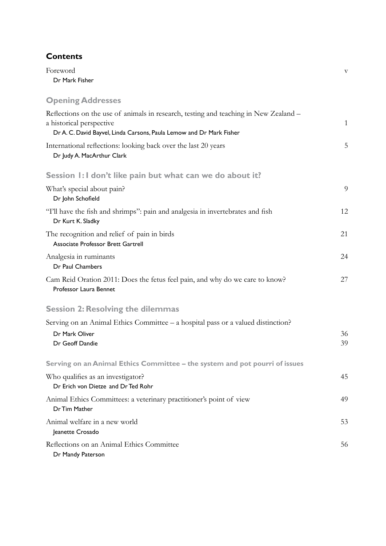## **Contents**

Foreword v Dr Mark Fisher **Opening Addresses** Reflections on the use of animals in research, testing and teaching in New Zealand – a historical perspective 1 Dr A. C. David Bayvel, Linda Carsons, Paula Lemow and Dr Mark Fisher International reflections: looking back over the last 20 years 5 Dr Judy A. MacArthur Clark **Session 1: I don't like pain but what can we do about it?** What's special about pain? 9 Dr John Schofield "I'll have the fish and shrimps": pain and analgesia in invertebrates and fish 12 Dr Kurt K. Sladky The recognition and relief of pain in birds 21 Associate Professor Brett Gartrell Analgesia in ruminants 24 Dr Paul Chambers Cam Reid Oration 2011: Does the fetus feel pain, and why do we care to know? 27 Professor Laura Bennet **Session 2: Resolving the dilemmas** Serving on an Animal Ethics Committee – a hospital pass or a valued distinction? Dr Mark Oliver 36 Dr Geoff Dandie 39 **Serving on an Animal Ethics Committee – the system and pot pourri of issues** Who qualifies as an investigator? 45 Dr Erich von Dietze and Dr Ted Rohr Animal Ethics Committees: a veterinary practitioner's point of view 49 Dr Tim Mather Animal welfare in a new world 53 Jeanette Crosado Reflections on an Animal Ethics Committee 56

Dr Mandy Paterson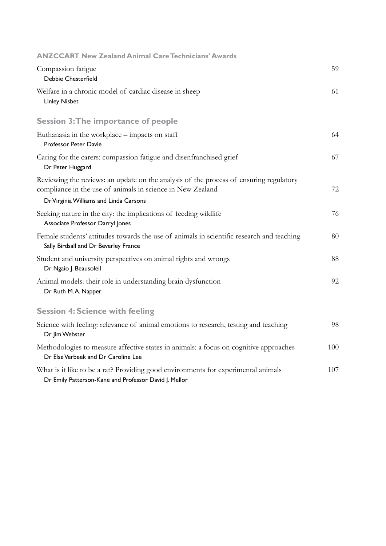| <b>ANZCCART New Zealand Animal Care Technicians' Awards</b>                                                                                                                                    |     |
|------------------------------------------------------------------------------------------------------------------------------------------------------------------------------------------------|-----|
| Compassion fatigue<br>Debbie Chesterfield                                                                                                                                                      | 59  |
| Welfare in a chronic model of cardiac disease in sheep<br><b>Linley Nisbet</b>                                                                                                                 | 61  |
| <b>Session 3: The importance of people</b>                                                                                                                                                     |     |
| Euthanasia in the workplace – impacts on staff<br>Professor Peter Davie                                                                                                                        | 64  |
| Caring for the carers: compassion fatigue and disenfranchised grief<br>Dr Peter Huggard                                                                                                        | 67  |
| Reviewing the reviews: an update on the analysis of the process of ensuring regulatory<br>compliance in the use of animals in science in New Zealand<br>Dr Virginia Williams and Linda Carsons | 72  |
| Seeking nature in the city: the implications of feeding wildlife<br>Associate Professor Darryl Jones                                                                                           | 76  |
| Female students' attitudes towards the use of animals in scientific research and teaching<br>Sally Birdsall and Dr Beverley France                                                             | 80  |
| Student and university perspectives on animal rights and wrongs<br>Dr Ngaio J. Beausoleil                                                                                                      | 88  |
| Animal models: their role in understanding brain dysfunction<br>Dr Ruth M.A. Napper                                                                                                            | 92  |
| <b>Session 4: Science with feeling</b>                                                                                                                                                         |     |
| Science with feeling: relevance of animal emotions to research, testing and teaching<br>Dr Jim Webster                                                                                         | 98  |
| Methodologies to measure affective states in animals: a focus on cognitive approaches<br>Dr Else Verbeek and Dr Caroline Lee                                                                   | 100 |
| What is it like to be a rat? Providing good environments for experimental animals<br>Dr Emily Patterson-Kane and Professor David J. Mellor                                                     | 107 |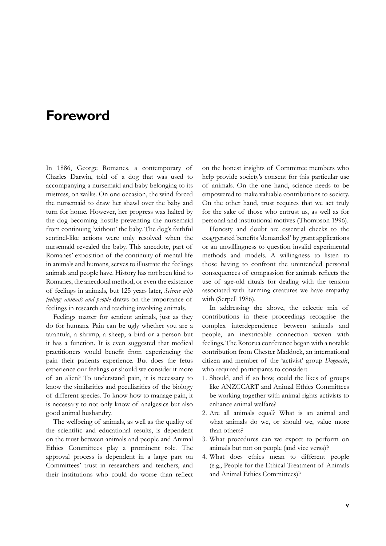# **Foreword**

In 1886, George Romanes, a contemporary of Charles Darwin, told of a dog that was used to accompanying a nursemaid and baby belonging to its mistress, on walks. On one occasion, the wind forced the nursemaid to draw her shawl over the baby and turn for home. However, her progress was halted by the dog becoming hostile preventing the nursemaid from continuing 'without' the baby. The dog's faithful sentinel-like actions were only resolved when the nursemaid revealed the baby. This anecdote, part of Romanes' exposition of the continuity of mental life in animals and humans, serves to illustrate the feelings animals and people have. History has not been kind to Romanes, the anecdotal method, or even the existence of feelings in animals, but 125 years later, *Science with feeling: animals and people* draws on the importance of feelings in research and teaching involving animals.

Feelings matter for sentient animals, just as they do for humans. Pain can be ugly whether you are a tarantula, a shrimp, a sheep, a bird or a person but it has a function. It is even suggested that medical practitioners would benefit from experiencing the pain their patients experience. But does the fetus experience our feelings or should we consider it more of an alien? To understand pain, it is necessary to know the similarities and peculiarities of the biology of different species. To know how to manage pain, it is necessary to not only know of analgesics but also good animal husbandry.

The wellbeing of animals, as well as the quality of the scientific and educational results, is dependent on the trust between animals and people and Animal Ethics Committees play a prominent role. The approval process is dependent in a large part on Committees' trust in researchers and teachers, and their institutions who could do worse than reflect on the honest insights of Committee members who help provide society's consent for this particular use of animals. On the one hand, science needs to be empowered to make valuable contributions to society. On the other hand, trust requires that we act truly for the sake of those who entrust us, as well as for personal and institutional motives (Thompson 1996).

Honesty and doubt are essential checks to the exaggerated benefits 'demanded' by grant applications or an unwillingness to question invalid experimental methods and models. A willingness to listen to those having to confront the unintended personal consequences of compassion for animals reflects the use of age-old rituals for dealing with the tension associated with harming creatures we have empathy with (Serpell 1986).

In addressing the above, the eclectic mix of contributions in these proceedings recognise the complex interdependence between animals and people, an inextricable connection woven with feelings. The Rotorua conference began with a notable contribution from Chester Maddock, an international citizen and member of the 'activist' group *Dogmatic*, who required participants to consider:

- 1. Should, and if so how, could the likes of groups like ANZCCART and Animal Ethics Committees be working together with animal rights activists to enhance animal welfare?
- 2. Are all animals equal? What is an animal and what animals do we, or should we, value more than others?
- 3. What procedures can we expect to perform on animals but not on people (and vice versa)?
- 4. What does ethics mean to different people (e.g., People for the Ethical Treatment of Animals and Animal Ethics Committees)?